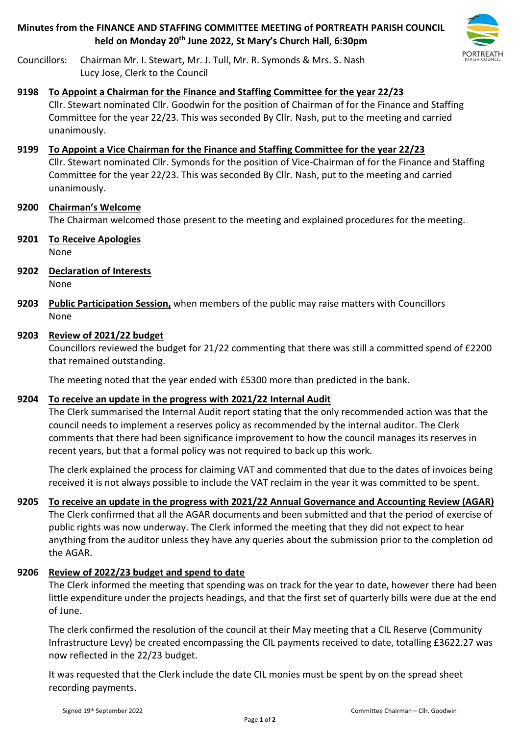**Minutes from the FINANCE AND STAFFING COMMITTEE MEETING of PORTREATH PARISH COUNCIL held on Monday 20th June 2022, St Mary's Church Hall, 6:30pm**



Councillors: Chairman Mr. I. Stewart, Mr. J. Tull, Mr. R. Symonds & Mrs. S. Nash Lucy Jose, Clerk to the Council

### **9198 To Appoint a Chairman for the Finance and Staffing Committee for the year 22/23**

Cllr. Stewart nominated Cllr. Goodwin for the position of Chairman of for the Finance and Staffing Committee for the year 22/23. This was seconded By Cllr. Nash, put to the meeting and carried unanimously.

## **9199 To Appoint a Vice Chairman for the Finance and Staffing Committee for the year 22/23**

Cllr. Stewart nominated Cllr. Symonds for the position of Vice-Chairman of for the Finance and Staffing Committee for the year 22/23. This was seconded By Cllr. Nash, put to the meeting and carried unanimously.

#### **9200 Chairman's Welcome** The Chairman welcomed those present to the meeting and explained procedures for the meeting.

- **9201 To Receive Apologies** None
- **9202 Declaration of Interests** None
- **9203 Public Participation Session,** when members of the public may raise matters with Councillors None

## **9203 Review of 2021/22 budget**

Councillors reviewed the budget for 21/22 commenting that there was still a committed spend of £2200 that remained outstanding.

The meeting noted that the year ended with £5300 more than predicted in the bank.

# **9204 To receive an update in the progress with 2021/22 Internal Audit**

The Clerk summarised the Internal Audit report stating that the only recommended action was that the council needs to implement a reserves policy as recommended by the internal auditor. The Clerk comments that there had been significance improvement to how the council manages its reserves in recent years, but that a formal policy was not required to back up this work.

The clerk explained the process for claiming VAT and commented that due to the dates of invoices being received it is not always possible to include the VAT reclaim in the year it was committed to be spent.

# **9205 To receive an update in the progress with 2021/22 Annual Governance and Accounting Review (AGAR)**

The Clerk confirmed that all the AGAR documents and been submitted and that the period of exercise of public rights was now underway. The Clerk informed the meeting that they did not expect to hear anything from the auditor unless they have any queries about the submission prior to the completion od the AGAR.

# **9206 Review of 2022/23 budget and spend to date**

The Clerk informed the meeting that spending was on track for the year to date, however there had been little expenditure under the projects headings, and that the first set of quarterly bills were due at the end of June.

The clerk confirmed the resolution of the council at their May meeting that a CIL Reserve (Community Infrastructure Levy) be created encompassing the CIL payments received to date, totalling £3622.27 was now reflected in the 22/23 budget.

It was requested that the Clerk include the date CIL monies must be spent by on the spread sheet recording payments.